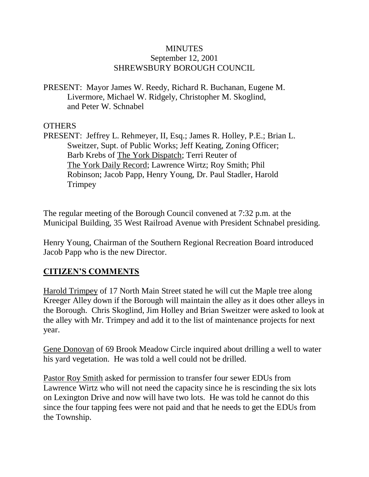#### **MINUTES** September 12, 2001 SHREWSBURY BOROUGH COUNCIL

PRESENT: Mayor James W. Reedy, Richard R. Buchanan, Eugene M. Livermore, Michael W. Ridgely, Christopher M. Skoglind, and Peter W. Schnabel

#### **OTHERS**

PRESENT: Jeffrey L. Rehmeyer, II, Esq.; James R. Holley, P.E.; Brian L. Sweitzer, Supt. of Public Works; Jeff Keating, Zoning Officer; Barb Krebs of The York Dispatch; Terri Reuter of The York Daily Record; Lawrence Wirtz; Roy Smith; Phil Robinson; Jacob Papp, Henry Young, Dr. Paul Stadler, Harold **Trimpey** 

The regular meeting of the Borough Council convened at 7:32 p.m. at the Municipal Building, 35 West Railroad Avenue with President Schnabel presiding.

Henry Young, Chairman of the Southern Regional Recreation Board introduced Jacob Papp who is the new Director.

# **CITIZEN'S COMMENTS**

Harold Trimpey of 17 North Main Street stated he will cut the Maple tree along Kreeger Alley down if the Borough will maintain the alley as it does other alleys in the Borough. Chris Skoglind, Jim Holley and Brian Sweitzer were asked to look at the alley with Mr. Trimpey and add it to the list of maintenance projects for next year.

Gene Donovan of 69 Brook Meadow Circle inquired about drilling a well to water his yard vegetation. He was told a well could not be drilled.

Pastor Roy Smith asked for permission to transfer four sewer EDUs from Lawrence Wirtz who will not need the capacity since he is rescinding the six lots on Lexington Drive and now will have two lots. He was told he cannot do this since the four tapping fees were not paid and that he needs to get the EDUs from the Township.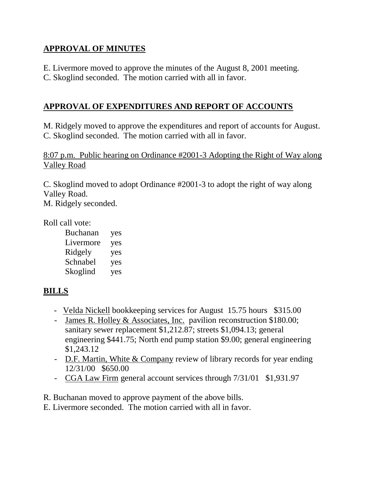# **APPROVAL OF MINUTES**

E. Livermore moved to approve the minutes of the August 8, 2001 meeting.

C. Skoglind seconded. The motion carried with all in favor.

# **APPROVAL OF EXPENDITURES AND REPORT OF ACCOUNTS**

M. Ridgely moved to approve the expenditures and report of accounts for August. C. Skoglind seconded. The motion carried with all in favor.

8:07 p.m. Public hearing on Ordinance #2001-3 Adopting the Right of Way along Valley Road

C. Skoglind moved to adopt Ordinance #2001-3 to adopt the right of way along Valley Road.

M. Ridgely seconded.

Roll call vote:

Buchanan yes Livermore yes Ridgely yes Schnabel yes Skoglind yes

# **BILLS**

- Velda Nickell bookkeeping services for August 15.75 hours \$315.00
- James R. Holley & Associates, Inc. pavilion reconstruction \$180.00; sanitary sewer replacement \$1,212.87; streets \$1,094.13; general engineering \$441.75; North end pump station \$9.00; general engineering \$1,243.12
- D.F. Martin, White & Company review of library records for year ending 12/31/00 \$650.00
- CGA Law Firm general account services through 7/31/01 \$1,931.97

R. Buchanan moved to approve payment of the above bills.

E. Livermore seconded. The motion carried with all in favor.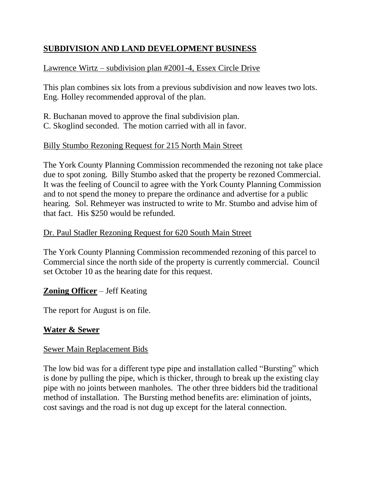# **SUBDIVISION AND LAND DEVELOPMENT BUSINESS**

# Lawrence Wirtz – subdivision plan #2001-4, Essex Circle Drive

This plan combines six lots from a previous subdivision and now leaves two lots. Eng. Holley recommended approval of the plan.

R. Buchanan moved to approve the final subdivision plan. C. Skoglind seconded. The motion carried with all in favor.

# Billy Stumbo Rezoning Request for 215 North Main Street

The York County Planning Commission recommended the rezoning not take place due to spot zoning. Billy Stumbo asked that the property be rezoned Commercial. It was the feeling of Council to agree with the York County Planning Commission and to not spend the money to prepare the ordinance and advertise for a public hearing. Sol. Rehmeyer was instructed to write to Mr. Stumbo and advise him of that fact. His \$250 would be refunded.

### Dr. Paul Stadler Rezoning Request for 620 South Main Street

The York County Planning Commission recommended rezoning of this parcel to Commercial since the north side of the property is currently commercial. Council set October 10 as the hearing date for this request.

# **Zoning Officer** – Jeff Keating

The report for August is on file.

# **Water & Sewer**

#### Sewer Main Replacement Bids

The low bid was for a different type pipe and installation called "Bursting" which is done by pulling the pipe, which is thicker, through to break up the existing clay pipe with no joints between manholes. The other three bidders bid the traditional method of installation. The Bursting method benefits are: elimination of joints, cost savings and the road is not dug up except for the lateral connection.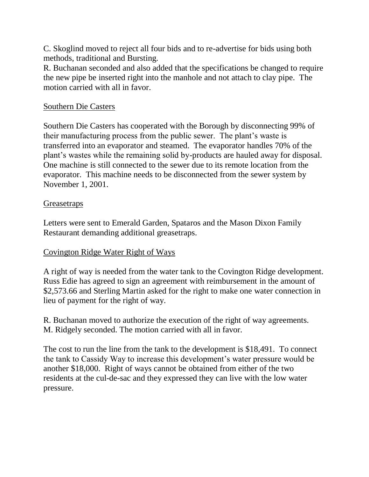C. Skoglind moved to reject all four bids and to re-advertise for bids using both methods, traditional and Bursting.

R. Buchanan seconded and also added that the specifications be changed to require the new pipe be inserted right into the manhole and not attach to clay pipe. The motion carried with all in favor.

### Southern Die Casters

Southern Die Casters has cooperated with the Borough by disconnecting 99% of their manufacturing process from the public sewer. The plant's waste is transferred into an evaporator and steamed. The evaporator handles 70% of the plant's wastes while the remaining solid by-products are hauled away for disposal. One machine is still connected to the sewer due to its remote location from the evaporator. This machine needs to be disconnected from the sewer system by November 1, 2001.

### **Greasetraps**

Letters were sent to Emerald Garden, Spataros and the Mason Dixon Family Restaurant demanding additional greasetraps.

# Covington Ridge Water Right of Ways

A right of way is needed from the water tank to the Covington Ridge development. Russ Edie has agreed to sign an agreement with reimbursement in the amount of \$2,573.66 and Sterling Martin asked for the right to make one water connection in lieu of payment for the right of way.

R. Buchanan moved to authorize the execution of the right of way agreements. M. Ridgely seconded. The motion carried with all in favor.

The cost to run the line from the tank to the development is \$18,491. To connect the tank to Cassidy Way to increase this development's water pressure would be another \$18,000. Right of ways cannot be obtained from either of the two residents at the cul-de-sac and they expressed they can live with the low water pressure.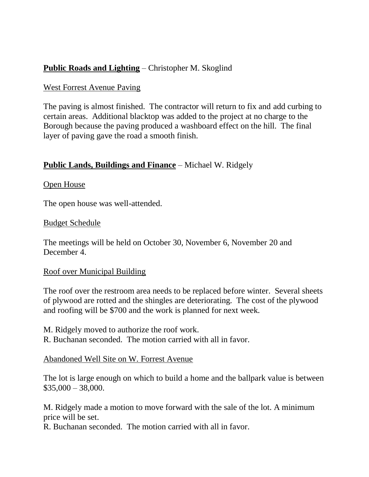# **Public Roads and Lighting** – Christopher M. Skoglind

#### West Forrest Avenue Paving

The paving is almost finished. The contractor will return to fix and add curbing to certain areas. Additional blacktop was added to the project at no charge to the Borough because the paving produced a washboard effect on the hill. The final layer of paving gave the road a smooth finish.

### **Public Lands, Buildings and Finance** – Michael W. Ridgely

#### Open House

The open house was well-attended.

#### Budget Schedule

The meetings will be held on October 30, November 6, November 20 and December 4.

#### Roof over Municipal Building

The roof over the restroom area needs to be replaced before winter. Several sheets of plywood are rotted and the shingles are deteriorating. The cost of the plywood and roofing will be \$700 and the work is planned for next week.

M. Ridgely moved to authorize the roof work. R. Buchanan seconded. The motion carried with all in favor.

Abandoned Well Site on W. Forrest Avenue

The lot is large enough on which to build a home and the ballpark value is between  $$35,000 - 38,000.$ 

M. Ridgely made a motion to move forward with the sale of the lot. A minimum price will be set.

R. Buchanan seconded. The motion carried with all in favor.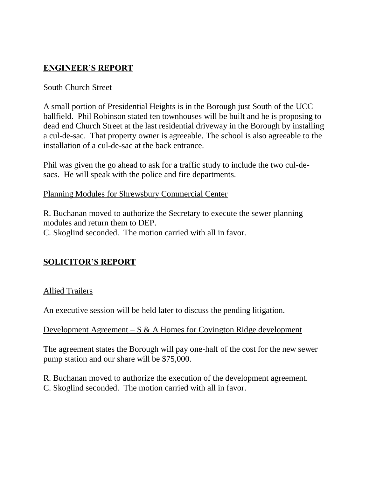# **ENGINEER'S REPORT**

# South Church Street

A small portion of Presidential Heights is in the Borough just South of the UCC ballfield. Phil Robinson stated ten townhouses will be built and he is proposing to dead end Church Street at the last residential driveway in the Borough by installing a cul-de-sac. That property owner is agreeable. The school is also agreeable to the installation of a cul-de-sac at the back entrance.

Phil was given the go ahead to ask for a traffic study to include the two cul-desacs. He will speak with the police and fire departments.

#### Planning Modules for Shrewsbury Commercial Center

R. Buchanan moved to authorize the Secretary to execute the sewer planning modules and return them to DEP. C. Skoglind seconded. The motion carried with all in favor.

# **SOLICITOR'S REPORT**

#### Allied Trailers

An executive session will be held later to discuss the pending litigation.

#### Development Agreement – S  $\&$  A Homes for Covington Ridge development

The agreement states the Borough will pay one-half of the cost for the new sewer pump station and our share will be \$75,000.

- R. Buchanan moved to authorize the execution of the development agreement.
- C. Skoglind seconded. The motion carried with all in favor.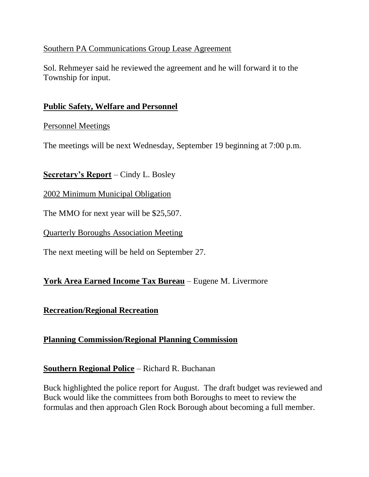### Southern PA Communications Group Lease Agreement

Sol. Rehmeyer said he reviewed the agreement and he will forward it to the Township for input.

### **Public Safety, Welfare and Personnel**

#### Personnel Meetings

The meetings will be next Wednesday, September 19 beginning at 7:00 p.m.

# **Secretary's Report** – Cindy L. Bosley

2002 Minimum Municipal Obligation

The MMO for next year will be \$25,507.

Quarterly Boroughs Association Meeting

The next meeting will be held on September 27.

# **York Area Earned Income Tax Bureau** – Eugene M. Livermore

# **Recreation/Regional Recreation**

# **Planning Commission/Regional Planning Commission**

# **Southern Regional Police** – Richard R. Buchanan

Buck highlighted the police report for August. The draft budget was reviewed and Buck would like the committees from both Boroughs to meet to review the formulas and then approach Glen Rock Borough about becoming a full member.